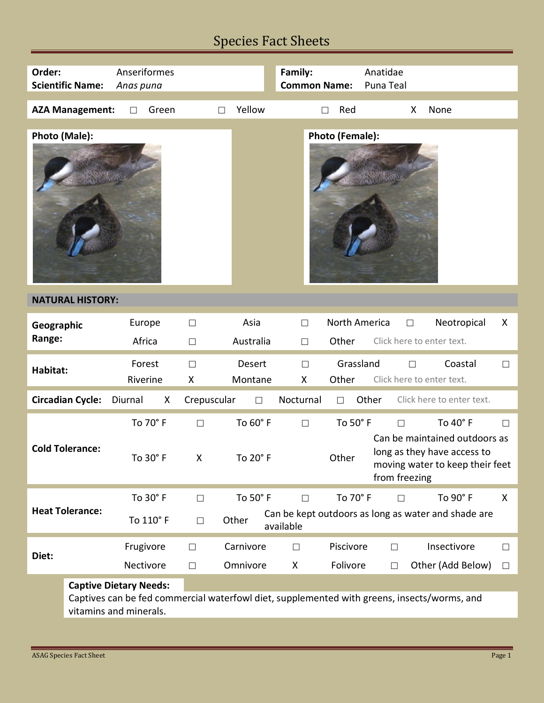# Species Fact Sheets

| Order:<br><b>Scientific Name:</b> |                                                                                                                                                        | Anseriformes<br>Anas puna |                        |                  |        |                       | Family:<br><b>Common Name:</b> |                        | Anatidae<br>Puna Teal   |        |                                                                                                             |             |
|-----------------------------------|--------------------------------------------------------------------------------------------------------------------------------------------------------|---------------------------|------------------------|------------------|--------|-----------------------|--------------------------------|------------------------|-------------------------|--------|-------------------------------------------------------------------------------------------------------------|-------------|
| <b>AZA Management:</b>            |                                                                                                                                                        | $\Box$                    | Green                  |                  | $\Box$ | Yellow                |                                | Red<br>$\Box$          |                         | X      | None                                                                                                        |             |
| Photo (Male):                     |                                                                                                                                                        |                           |                        |                  |        |                       |                                | <b>Photo (Female):</b> |                         |        |                                                                                                             |             |
| <b>NATURAL HISTORY:</b>           |                                                                                                                                                        |                           |                        |                  |        |                       |                                |                        |                         |        |                                                                                                             |             |
| Geographic<br>Range:              |                                                                                                                                                        | Europe<br>Africa          |                        | $\Box$<br>$\Box$ |        | Asia<br>Australia     | $\Box$<br>$\Box$               | Other                  | North America<br>$\Box$ |        | Neotropical<br>Click here to enter text.                                                                    | X           |
| Habitat:                          |                                                                                                                                                        | Forest<br>Riverine        |                        | $\Box$<br>X      |        | Desert<br>Montane     | $\Box$<br>X                    | Other                  | Grassland               | $\Box$ | Coastal<br>Click here to enter text.                                                                        | $\Box$      |
| <b>Circadian Cycle:</b>           |                                                                                                                                                        | Diurnal                   | X.                     | Crepuscular      |        | $\Box$                | Nocturnal                      | $\Box$                 | Other                   |        | Click here to enter text.                                                                                   |             |
| <b>Cold Tolerance:</b>            |                                                                                                                                                        |                           | To 70° F<br>To 30° F   | $\Box$<br>X      |        | To 60° F<br>To 20°F   | $\Box$                         | To 50° F<br>Other      | $\Box$<br>from freezing |        | To 40° F<br>Can be maintained outdoors as<br>long as they have access to<br>moving water to keep their feet | $\Box$      |
| <b>Heat Tolerance:</b>            |                                                                                                                                                        |                           | To 30°F<br>To 110° F   | $\Box$<br>$\Box$ |        | To 50°F<br>Other      | $\Box$<br>available            | To 70° F               | П                       |        | To 90° F<br>Can be kept outdoors as long as water and shade are                                             | X           |
| Diet:                             |                                                                                                                                                        |                           | Frugivore<br>Nectivore |                  |        | Carnivore<br>Omnivore | $\Box$<br>X                    | Piscivore<br>Folivore  | $\Box$<br>$\Box$        |        | Insectivore<br>Other (Add Below)                                                                            | □<br>$\Box$ |
|                                   | <b>Captive Dietary Needs:</b><br>Captives can be fed commercial waterfowl diet, supplemented with greens, insects/worms, and<br>vitamins and minerals. |                           |                        |                  |        |                       |                                |                        |                         |        |                                                                                                             |             |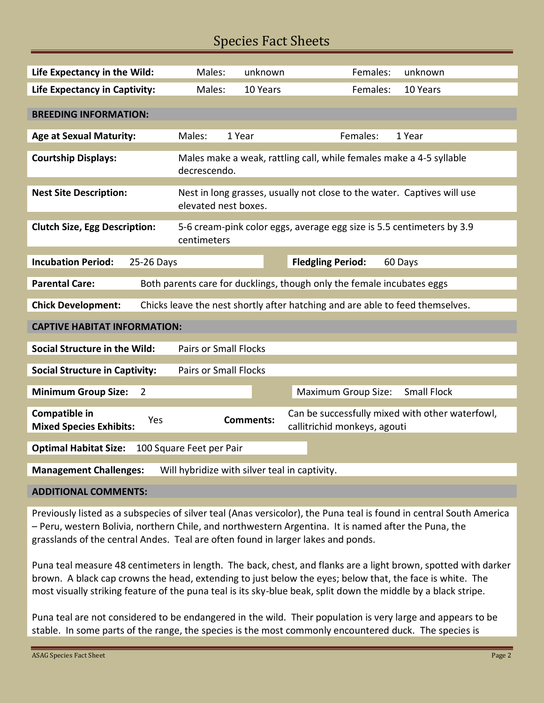## Species Fact Sheets

| Life Expectancy in the Wild:                                                                               | Males:                                                                                          | unknown          | Females:                                                                        | unknown            |  |  |  |  |  |  |
|------------------------------------------------------------------------------------------------------------|-------------------------------------------------------------------------------------------------|------------------|---------------------------------------------------------------------------------|--------------------|--|--|--|--|--|--|
| <b>Life Expectancy in Captivity:</b>                                                                       | Males:                                                                                          | 10 Years         | Females:                                                                        | 10 Years           |  |  |  |  |  |  |
|                                                                                                            |                                                                                                 |                  |                                                                                 |                    |  |  |  |  |  |  |
| <b>BREEDING INFORMATION:</b>                                                                               |                                                                                                 |                  |                                                                                 |                    |  |  |  |  |  |  |
| <b>Age at Sexual Maturity:</b>                                                                             | Males:                                                                                          | 1 Year           | Females:                                                                        | 1 Year             |  |  |  |  |  |  |
| <b>Courtship Displays:</b>                                                                                 | Males make a weak, rattling call, while females make a 4-5 syllable<br>decrescendo.             |                  |                                                                                 |                    |  |  |  |  |  |  |
| <b>Nest Site Description:</b>                                                                              | Nest in long grasses, usually not close to the water. Captives will use<br>elevated nest boxes. |                  |                                                                                 |                    |  |  |  |  |  |  |
| <b>Clutch Size, Egg Description:</b>                                                                       | centimeters                                                                                     |                  | 5-6 cream-pink color eggs, average egg size is 5.5 centimeters by 3.9           |                    |  |  |  |  |  |  |
| <b>Incubation Period:</b><br>25-26 Days                                                                    |                                                                                                 |                  | <b>Fledgling Period:</b>                                                        | 60 Days            |  |  |  |  |  |  |
|                                                                                                            |                                                                                                 |                  |                                                                                 |                    |  |  |  |  |  |  |
| <b>Parental Care:</b>                                                                                      |                                                                                                 |                  | Both parents care for ducklings, though only the female incubates eggs          |                    |  |  |  |  |  |  |
| <b>Chick Development:</b><br>Chicks leave the nest shortly after hatching and are able to feed themselves. |                                                                                                 |                  |                                                                                 |                    |  |  |  |  |  |  |
|                                                                                                            |                                                                                                 |                  |                                                                                 |                    |  |  |  |  |  |  |
| <b>CAPTIVE HABITAT INFORMATION:</b>                                                                        |                                                                                                 |                  |                                                                                 |                    |  |  |  |  |  |  |
| <b>Pairs or Small Flocks</b><br>Social Structure in the Wild:                                              |                                                                                                 |                  |                                                                                 |                    |  |  |  |  |  |  |
| <b>Social Structure in Captivity:</b><br><b>Pairs or Small Flocks</b>                                      |                                                                                                 |                  |                                                                                 |                    |  |  |  |  |  |  |
| <b>Minimum Group Size:</b><br>2                                                                            |                                                                                                 |                  | <b>Maximum Group Size:</b>                                                      | <b>Small Flock</b> |  |  |  |  |  |  |
| <b>Compatible in</b><br>Yes<br><b>Mixed Species Exhibits:</b>                                              |                                                                                                 | <b>Comments:</b> | Can be successfully mixed with other waterfowl,<br>callitrichid monkeys, agouti |                    |  |  |  |  |  |  |
| <b>Optimal Habitat Size:</b><br>100 Square Feet per Pair                                                   |                                                                                                 |                  |                                                                                 |                    |  |  |  |  |  |  |
| Will hybridize with silver teal in captivity.<br><b>Management Challenges:</b>                             |                                                                                                 |                  |                                                                                 |                    |  |  |  |  |  |  |
|                                                                                                            |                                                                                                 |                  |                                                                                 |                    |  |  |  |  |  |  |

### **ADDITIONAL COMMENTS:**

Previously listed as a subspecies of silver teal (Anas versicolor), the Puna teal is found in central South America – Peru, western Bolivia, northern Chile, and northwestern Argentina. It is named after the Puna, the grasslands of the central Andes. Teal are often found in larger lakes and ponds.

Puna teal measure 48 centimeters in length. The back, chest, and flanks are a light brown, spotted with darker brown. A black cap crowns the head, extending to just below the eyes; below that, the face is white. The most visually striking feature of the puna teal is its sky-blue beak, split down the middle by a black stripe.

Puna teal are not considered to be endangered in the wild. Their population is very large and appears to be stable. In some parts of the range, the species is the most commonly encountered duck. The species is